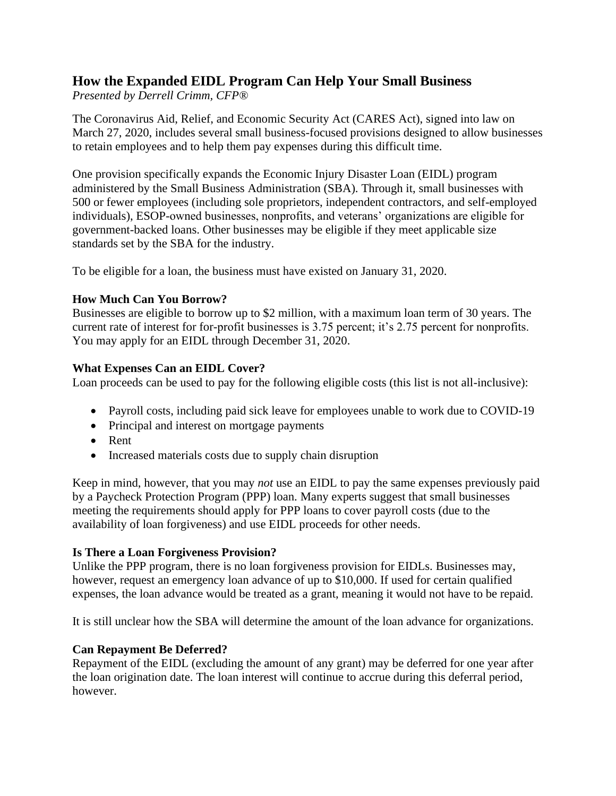# **How the Expanded EIDL Program Can Help Your Small Business**

*Presented by Derrell Crimm, CFP®*

The Coronavirus Aid, Relief, and Economic Security Act (CARES Act), signed into law on March 27, 2020, includes several small business-focused provisions designed to allow businesses to retain employees and to help them pay expenses during this difficult time.

One provision specifically expands the Economic Injury Disaster Loan (EIDL) program administered by the Small Business Administration (SBA). Through it, small businesses with 500 or fewer employees (including sole proprietors, independent contractors, and self-employed individuals), ESOP-owned businesses, nonprofits, and veterans' organizations are eligible for government-backed loans. Other businesses may be eligible if they meet applicable size standards set by the SBA for the industry.

To be eligible for a loan, the business must have existed on January 31, 2020.

### **How Much Can You Borrow?**

Businesses are eligible to borrow up to \$2 million, with a maximum loan term of 30 years. The current rate of interest for for-profit businesses is 3.75 percent; it's 2.75 percent for nonprofits. You may apply for an EIDL through December 31, 2020.

### **What Expenses Can an EIDL Cover?**

Loan proceeds can be used to pay for the following eligible costs (this list is not all-inclusive):

- Payroll costs, including paid sick leave for employees unable to work due to COVID-19
- Principal and interest on mortgage payments
- Rent
- Increased materials costs due to supply chain disruption

Keep in mind, however, that you may *not* use an EIDL to pay the same expenses previously paid by a Paycheck Protection Program (PPP) loan. Many experts suggest that small businesses meeting the requirements should apply for PPP loans to cover payroll costs (due to the availability of loan forgiveness) and use EIDL proceeds for other needs.

### **Is There a Loan Forgiveness Provision?**

Unlike the PPP program, there is no loan forgiveness provision for EIDLs. Businesses may, however, request an emergency loan advance of up to \$10,000. If used for certain qualified expenses, the loan advance would be treated as a grant, meaning it would not have to be repaid.

It is still unclear how the SBA will determine the amount of the loan advance for organizations.

## **Can Repayment Be Deferred?**

Repayment of the EIDL (excluding the amount of any grant) may be deferred for one year after the loan origination date. The loan interest will continue to accrue during this deferral period, however.